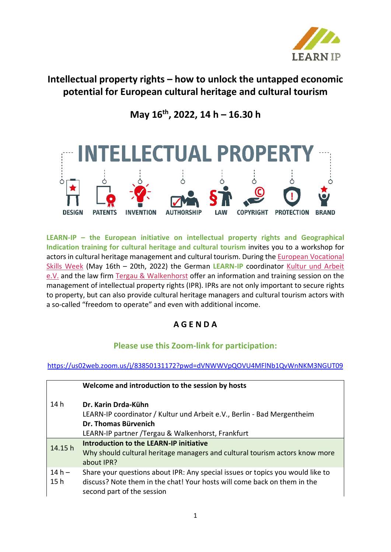

# **Intellectual property rights – how to unlock the untapped economic potential for European cultural heritage and cultural tourism**

## **May 16th, 2022, 14 h – 16.30 h**



**LEARN-IP – the European initiative on intellectual property rights and Geographical Indication training for cultural heritage and cultural tourism** invites you to a workshop for actors in cultural heritage management and cultural tourism. During the [European Vocational](https://ec.europa.eu/social/vocational-skills-week/index_de)  [Skills Week](https://ec.europa.eu/social/vocational-skills-week/index_de) (May 16th – 20th, 2022) the German **LEARN-IP** coordinator [Kultur und Arbeit](https://kultur-und-arbeit.de/)  [e.V.](https://kultur-und-arbeit.de/) and the law firm [Tergau & Walkenhorst](https://tergau-walkenhorst.com/) offer an information and training session on the management of intellectual property rights (IPR). IPRs are not only important to secure rights to property, but can also provide cultural heritage managers and cultural tourism actors with a so-called "freedom to operate" and even with additional income.

## **A G E N D A**

### **Please use this Zoom-link for participation:**

### <https://us02web.zoom.us/j/83850131172?pwd=dVNWWVpQOVU4MFlNb1QvWnNKM3NGUT09>

|                 | Welcome and introduction to the session by hosts                                                                                                                                         |
|-----------------|------------------------------------------------------------------------------------------------------------------------------------------------------------------------------------------|
| 14 <sub>h</sub> | Dr. Karin Drda-Kühn<br>LEARN-IP coordinator / Kultur und Arbeit e.V., Berlin - Bad Mergentheim<br>Dr. Thomas Bürvenich<br>LEARN-IP partner / Tergau & Walkenhorst, Frankfurt             |
| 14.15 h         | <b>Introduction to the LEARN-IP initiative</b><br>Why should cultural heritage managers and cultural tourism actors know more<br>about IPR?                                              |
| $14h -$<br>15h  | Share your questions about IPR: Any special issues or topics you would like to<br>discuss? Note them in the chat! Your hosts will come back on them in the<br>second part of the session |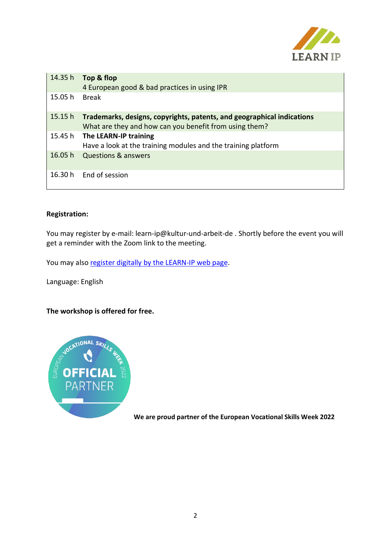

| 14.35 h | Top & flop<br>4 European good & bad practices in using IPR                                                                       |
|---------|----------------------------------------------------------------------------------------------------------------------------------|
| 15.05 h | <b>Break</b>                                                                                                                     |
| 15.15h  | Trademarks, designs, copyrights, patents, and geographical indications<br>What are they and how can you benefit from using them? |
| 15.45 h | The LEARN-IP training<br>Have a look at the training modules and the training platform                                           |
| 16.05 h | <b>Questions &amp; answers</b>                                                                                                   |
| 16.30 h | End of session                                                                                                                   |

#### **Registration:**

You may register by e-mail: learn-ip@kultur-und-arbeit-de . Shortly before the event you will get a reminder with the Zoom link to the meeting.

You may also register digitally [by the LEARN-IP](https://learn-ip.eu/events/) web page.

Language: English

**The workshop is offered for free.**



**We are proud partner of the European Vocational Skills Week 2022**